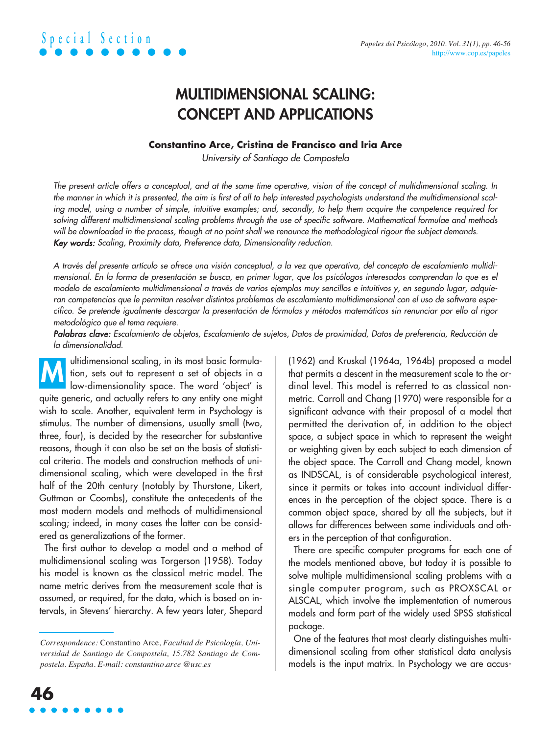

## **MULTIDIMENSIONAL SCALING: CONCEPT AND APPLICATIONS**

### **Constantino Arce, Cristina de Francisco and Iria Arce**

University of Santiago de Compostela

The present article offers a conceptual, and at the same time operative, vision of the concept of multidimensional scaling. In the manner in which it is presented, the aim is first of all to help interested psychologists understand the multidimensional scaling model, using a number of simple, intuitive examples; and, secondly, to help them acquire the competence required for solving different multidimensional scaling problems through the use of specific software. Mathematical formulae and methods will be downloaded in the process, though at no point shall we renounce the methodological rigour the subject demands. Key words: Scaling, Proximity data, Preference data, Dimensionality reduction.

A través del presente artículo se ofrece una visión conceptual, a la vez que operativa, del concepto de escalamiento multidimensional. En la forma de presentación se busca, en primer lugar, que los psicólogos interesados comprendan lo que es el modelo de escalamiento multidimensional a través de varios ejemplos muy sencillos e intuitivos y, en segundo lugar, adquieran competencias que le permitan resolver distintos problemas de escalamiento multidimensional con el uso de software específico. Se pretende igualmente descargar la presentación de fórmulas y métodos matemáticos sin renunciar por ello al rigor metodológico que el tema requiere.

Palabras clave: Escalamiento de objetos, Escalamiento de sujetos, Datos de proximidad, Datos de preferencia, Reducción de la dimensionalidad.

ultidimensional scaling, in its most basic formulation, sets out to represent a set of objects in a low-dimensionality space. The word 'object' is quite generic, and actually refers to any entity one might wish to scale. Another, equivalent term in Psychology is stimulus. The number of dimensions, usually small (two, three, four), is decided by the researcher for substantive reasons, though it can also be set on the basis of statistical criteria. The models and construction methods of unidimensional scaling, which were developed in the first half of the 20th century (notably by Thurstone, Likert, Guttman or Coombs), constitute the antecedents of the most modern models and methods of multidimensional scaling; indeed, in many cases the latter can be considered as generalizations of the former. **M**

The first author to develop a model and a method of multidimensional scaling was Torgerson (1958). Today his model is known as the classical metric model. The name metric derives from the measurement scale that is assumed, or required, for the data, which is based on intervals, in Stevens' hierarchy. A few years later, Shepard

(1962) and Kruskal (1964a, 1964b) proposed a model that permits a descent in the measurement scale to the ordinal level. This model is referred to as classical nonmetric. Carroll and Chang (1970) were responsible for a significant advance with their proposal of a model that permitted the derivation of, in addition to the object space, a subject space in which to represent the weight or weighting given by each subject to each dimension of the object space. The Carroll and Chang model, known as INDSCAL, is of considerable psychological interest, since it permits or takes into account individual differences in the perception of the object space. There is a common object space, shared by all the subjects, but it allows for differences between some individuals and others in the perception of that configuration.

There are specific computer programs for each one of the models mentioned above, but today it is possible to solve multiple multidimensional scaling problems with a single computer program, such as PROXSCAL or ALSCAL, which involve the implementation of numerous models and form part of the widely used SPSS statistical package.

One of the features that most clearly distinguishes multidimensional scaling from other statistical data analysis models is the input matrix. In Psychology we are accus-

*Correspondence:* Constantino Arce, *Facultad de Psicología, Universidad de Santiago de Compostela, 15.782 Santiago de Compostela. España. E-mail: constantino.arce @usc.es*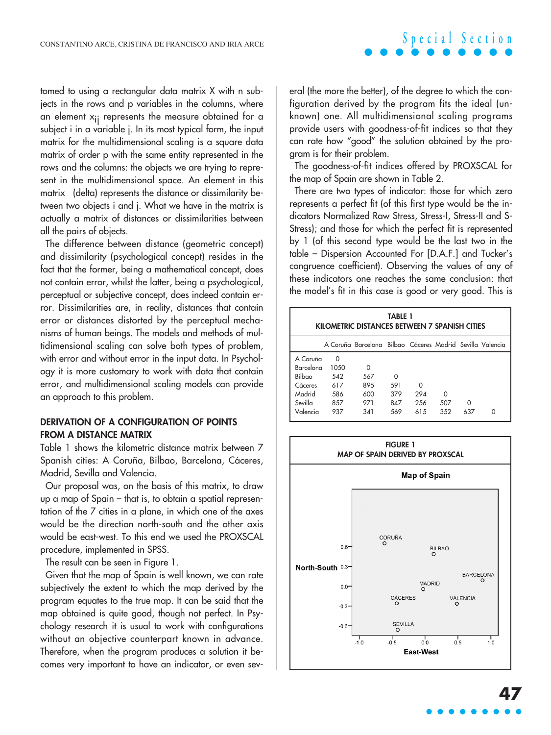tomed to using a rectangular data matrix X with n subjects in the rows and p variables in the columns, where an element  $x_{ii}$  represents the measure obtained for a subject i in a variable j. In its most typical form, the input matrix for the multidimensional scaling is a square data matrix of order p with the same entity represented in the rows and the columns: the objects we are trying to represent in the multidimensional space. An element in this matrix (delta) represents the distance or dissimilarity between two objects i and j. What we have in the matrix is actually a matrix of distances or dissimilarities between all the pairs of objects.

The difference between distance (geometric concept) and dissimilarity (psychological concept) resides in the fact that the former, being a mathematical concept, does not contain error, whilst the latter, being a psychological, perceptual or subjective concept, does indeed contain error. Dissimilarities are, in reality, distances that contain error or distances distorted by the perceptual mechanisms of human beings. The models and methods of multidimensional scaling can solve both types of problem, with error and without error in the input data. In Psychology it is more customary to work with data that contain error, and multidimensional scaling models can provide an approach to this problem.

#### **DERIVATION OF A CONFIGURATION OF POINTS FROM A DISTANCE MATRIX**

Table 1 shows the kilometric distance matrix between 7 Spanish cities: A Coruña, Bilbao, Barcelona, Cáceres, Madrid, Sevilla and Valencia.

Our proposal was, on the basis of this matrix, to draw up a map of Spain – that is, to obtain a spatial representation of the 7 cities in a plane, in which one of the axes would be the direction north-south and the other axis would be east-west. To this end we used the PROXSCAL procedure, implemented in SPSS.

The result can be seen in Figure 1.

Given that the map of Spain is well known, we can rate subjectively the extent to which the map derived by the program equates to the true map. It can be said that the map obtained is quite good, though not perfect. In Psychology research it is usual to work with configurations without an objective counterpart known in advance. Therefore, when the program produces a solution it becomes very important to have an indicator, or even several (the more the better), of the degree to which the configuration derived by the program fits the ideal (unknown) one. All multidimensional scaling programs provide users with goodness-of-fit indices so that they can rate how "good" the solution obtained by the program is for their problem.

**Special Section**

The goodness-of-fit indices offered by PROXSCAL for the map of Spain are shown in Table 2.

There are two types of indicator: those for which zero represents a perfect fit (of this first type would be the indicators Normalized Raw Stress, Stress-I, Stress-II and S-Stress); and those for which the perfect fit is represented by 1 (of this second type would be the last two in the table – Dispersion Accounted For [D.A.F.] and Tucker's congruence coefficient). Observing the values of any of these indicators one reaches the same conclusion: that the model's fit in this case is good or very good. This is

| TABLE 1<br>KILOMETRIC DISTANCES BETWEEN 7 SPANISH CITIES |          |                                                           |          |          |          |     |   |
|----------------------------------------------------------|----------|-----------------------------------------------------------|----------|----------|----------|-----|---|
|                                                          |          | A Coruña Barcelona Bilbao Cáceres Madrid Sevilla Valencia |          |          |          |     |   |
| A Coruña                                                 | $\Omega$ |                                                           |          |          |          |     |   |
| Barcelona                                                | 1050     | $\Omega$                                                  |          |          |          |     |   |
| Bilbao                                                   | 542      | 567                                                       | $\Omega$ |          |          |     |   |
| Cáceres                                                  | 617      | 895                                                       | 591      | $\Omega$ |          |     |   |
| Madrid                                                   | 586      | 600                                                       | 379      | 294      | $\Omega$ |     |   |
| Sevilla                                                  | 857      | 971                                                       | 847      | 256      | 507      | 0   |   |
| Valencia                                                 | 937      | 341                                                       | 569      | 615      | 352      | 637 | Ω |

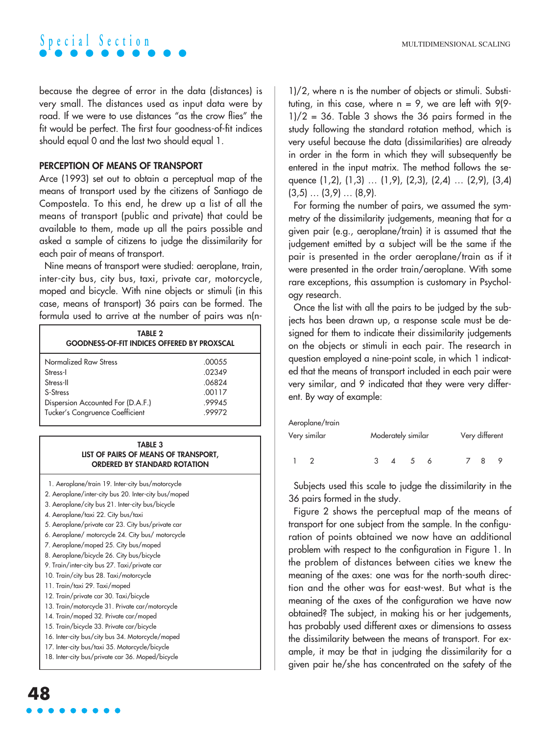because the degree of error in the data (distances) is very small. The distances used as input data were by road. If we were to use distances "as the crow flies" the fit would be perfect. The first four goodness-of-fit indices should equal 0 and the last two should equal 1.

#### **PERCEPTION OF MEANS OF TRANSPORT**

Arce (1993) set out to obtain a perceptual map of the means of transport used by the citizens of Santiago de Compostela. To this end, he drew up a list of all the means of transport (public and private) that could be available to them, made up all the pairs possible and asked a sample of citizens to judge the dissimilarity for each pair of means of transport.

Nine means of transport were studied: aeroplane, train, inter-city bus, city bus, taxi, private car, motorcycle, moped and bicycle. With nine objects or stimuli (in this case, means of transport) 36 pairs can be formed. The formula used to arrive at the number of pairs was n(n-

| <b>TABLE 2</b><br><b>GOODNESS-OF-FIT INDICES OFFERED BY PROXSCAL</b> |        |  |  |  |  |
|----------------------------------------------------------------------|--------|--|--|--|--|
| Normalized Raw Stress                                                | .00055 |  |  |  |  |
| Stress-I                                                             | 02349  |  |  |  |  |
| Stress-II                                                            | .06824 |  |  |  |  |
| S-Stress                                                             | .00117 |  |  |  |  |
| Dispersion Accounted For (D.A.F.)                                    | .99945 |  |  |  |  |
| Tucker's Congruence Coefficient                                      | 99972  |  |  |  |  |

#### **TABLE 3 LIST OF PAIRS OF MEANS OF TRANSPORT, ORDERED BY STANDARD ROTATION**

**48** 1. Aeroplane/train 19. Inter-city bus/motorcycle 2. Aeroplane/inter-city bus 20. Inter-city bus/moped 3. Aeroplane/city bus 21. Inter-city bus/bicycle 4. Aeroplane/taxi 22. City bus/taxi 5. Aeroplane/private car 23. City bus/private car 6. Aeroplane/ motorcycle 24. City bus/ motorcycle 7. Aeroplane/moped 25. City bus/moped 8. Aeroplane/bicycle 26. City bus/bicycle 9. Train/inter-city bus 27. Taxi/private car 10. Train/city bus 28. Taxi/motorcycle 11. Train/taxi 29. Taxi/moped 12. Train/private car 30. Taxi/bicycle 13. Train/motorcycle 31. Private car/motorcycle 14. Train/moped 32. Private car/moped 15. Train/bicycle 33. Private car/bicycle 16. Inter-city bus/city bus 34. Motorcycle/moped 17. Inter-city bus/taxi 35. Motorcycle/bicycle 18. Inter-city bus/private car 36. Moped/bicycle

1)/2, where n is the number of objects or stimuli. Substituting, in this case, where  $n = 9$ , we are left with  $9(9 1/2 = 36$ . Table 3 shows the 36 pairs formed in the study following the standard rotation method, which is very useful because the data (dissimilarities) are already in order in the form in which they will subsequently be entered in the input matrix. The method follows the sequence (1,2), (1,3) … (1,9), (2,3), (2,4) … (2,9), (3,4) (3,5) … (3,9) … (8,9).

For forming the number of pairs, we assumed the symmetry of the dissimilarity judgements, meaning that for a given pair (e.g., aeroplane/train) it is assumed that the judgement emitted by a subject will be the same if the pair is presented in the order aeroplane/train as if it were presented in the order train/aeroplane. With some rare exceptions, this assumption is customary in Psychology research.

Once the list with all the pairs to be judged by the subjects has been drawn up, a response scale must be designed for them to indicate their dissimilarity judgements on the objects or stimuli in each pair. The research in question employed a nine-point scale, in which 1 indicated that the means of transport included in each pair were very similar, and 9 indicated that they were very different. By way of example:

#### Aeroplane/train

| Very similar |  | Moderately similar |                | Very different |    |  |  |   |  |
|--------------|--|--------------------|----------------|----------------|----|--|--|---|--|
|              |  | $\mathcal{S}$      | $\overline{4}$ | 5 <sup>5</sup> | -6 |  |  | 8 |  |

Subjects used this scale to judge the dissimilarity in the 36 pairs formed in the study.

Figure 2 shows the perceptual map of the means of transport for one subject from the sample. In the configuration of points obtained we now have an additional problem with respect to the configuration in Figure 1. In the problem of distances between cities we knew the meaning of the axes: one was for the north-south direction and the other was for east-west. But what is the meaning of the axes of the configuration we have now obtained? The subject, in making his or her judgements, has probably used different axes or dimensions to assess the dissimilarity between the means of transport. For example, it may be that in judging the dissimilarity for a given pair he/she has concentrated on the safety of the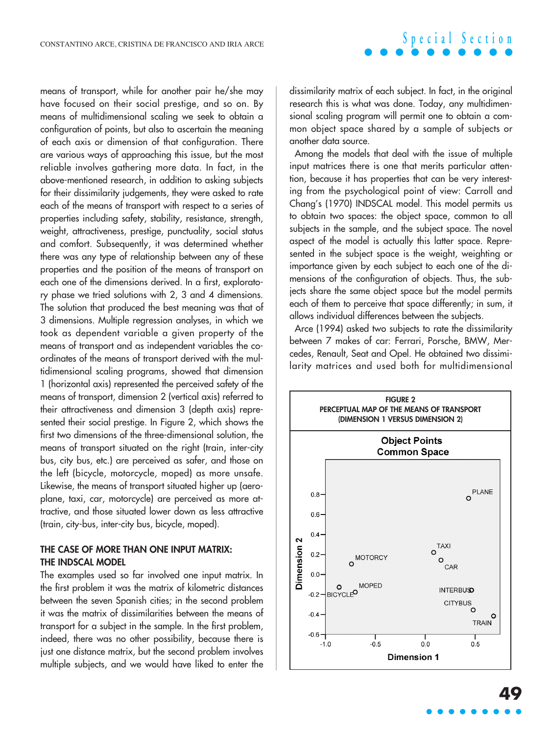means of transport, while for another pair he/she may have focused on their social prestige, and so on. By means of multidimensional scaling we seek to obtain a configuration of points, but also to ascertain the meaning of each axis or dimension of that configuration. There are various ways of approaching this issue, but the most reliable involves gathering more data. In fact, in the above-mentioned research, in addition to asking subjects for their dissimilarity judgements, they were asked to rate each of the means of transport with respect to a series of properties including safety, stability, resistance, strength, weight, attractiveness, prestige, punctuality, social status and comfort. Subsequently, it was determined whether there was any type of relationship between any of these properties and the position of the means of transport on each one of the dimensions derived. In a first, exploratory phase we tried solutions with 2, 3 and 4 dimensions. The solution that produced the best meaning was that of 3 dimensions. Multiple regression analyses, in which we took as dependent variable a given property of the means of transport and as independent variables the coordinates of the means of transport derived with the multidimensional scaling programs, showed that dimension 1 (horizontal axis) represented the perceived safety of the means of transport, dimension 2 (vertical axis) referred to their attractiveness and dimension 3 (depth axis) represented their social prestige. In Figure 2, which shows the first two dimensions of the three-dimensional solution, the means of transport situated on the right (train, inter-city bus, city bus, etc.) are perceived as safer, and those on the left (bicycle, motorcycle, moped) as more unsafe. Likewise, the means of transport situated higher up (aeroplane, taxi, car, motorcycle) are perceived as more attractive, and those situated lower down as less attractive (train, city-bus, inter-city bus, bicycle, moped).

#### **THE CASE OF MORE THAN ONE INPUT MATRIX: THE INDSCAL MODEL**

The examples used so far involved one input matrix. In the first problem it was the matrix of kilometric distances between the seven Spanish cities; in the second problem it was the matrix of dissimilarities between the means of transport for a subject in the sample. In the first problem, indeed, there was no other possibility, because there is just one distance matrix, but the second problem involves multiple subjects, and we would have liked to enter the

dissimilarity matrix of each subject. In fact, in the original research this is what was done. Today, any multidimensional scaling program will permit one to obtain a common object space shared by a sample of subjects or another data source.

Among the models that deal with the issue of multiple input matrices there is one that merits particular attention, because it has properties that can be very interesting from the psychological point of view: Carroll and Chang's (1970) INDSCAL model. This model permits us to obtain two spaces: the object space, common to all subjects in the sample, and the subject space. The novel aspect of the model is actually this latter space. Represented in the subject space is the weight, weighting or importance given by each subject to each one of the dimensions of the configuration of objects. Thus, the subjects share the same object space but the model permits each of them to perceive that space differently; in sum, it allows individual differences between the subjects.

Arce (1994) asked two subjects to rate the dissimilarity between 7 makes of car: Ferrari, Porsche, BMW, Mercedes, Renault, Seat and Opel. He obtained two dissimilarity matrices and used both for multidimensional

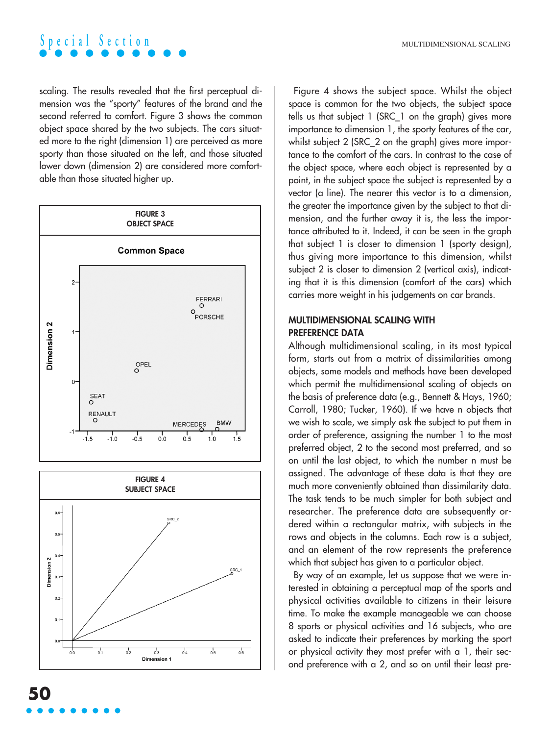

scaling. The results revealed that the first perceptual dimension was the "sporty" features of the brand and the second referred to comfort. Figure 3 shows the common object space shared by the two subjects. The cars situated more to the right (dimension 1) are perceived as more sporty than those situated on the left, and those situated lower down (dimension 2) are considered more comfortable than those situated higher up.



Figure 4 shows the subject space. Whilst the object space is common for the two objects, the subject space tells us that subject 1 (SRC\_1 on the graph) gives more importance to dimension 1, the sporty features of the car, whilst subject 2 (SRC\_2 on the graph) gives more importance to the comfort of the cars. In contrast to the case of the object space, where each object is represented by a point, in the subject space the subject is represented by a vector (a line). The nearer this vector is to a dimension, the greater the importance given by the subject to that dimension, and the further away it is, the less the importance attributed to it. Indeed, it can be seen in the graph that subject 1 is closer to dimension 1 (sporty design), thus giving more importance to this dimension, whilst subject 2 is closer to dimension 2 (vertical axis), indicating that it is this dimension (comfort of the cars) which carries more weight in his judgements on car brands.

### **MULTIDIMENSIONAL SCALING WITH PREFERENCE DATA**

Although multidimensional scaling, in its most typical form, starts out from a matrix of dissimilarities among objects, some models and methods have been developed which permit the multidimensional scaling of objects on the basis of preference data (e.g., Bennett & Hays, 1960; Carroll, 1980; Tucker, 1960). If we have n objects that we wish to scale, we simply ask the subject to put them in order of preference, assigning the number 1 to the most preferred object, 2 to the second most preferred, and so on until the last object, to which the number n must be assigned. The advantage of these data is that they are much more conveniently obtained than dissimilarity data. The task tends to be much simpler for both subject and researcher. The preference data are subsequently ordered within a rectangular matrix, with subjects in the rows and objects in the columns. Each row is a subject, and an element of the row represents the preference which that subject has given to a particular object.

By way of an example, let us suppose that we were interested in obtaining a perceptual map of the sports and physical activities available to citizens in their leisure time. To make the example manageable we can choose 8 sports or physical activities and 16 subjects, who are asked to indicate their preferences by marking the sport or physical activity they most prefer with a 1, their second preference with a 2, and so on until their least pre-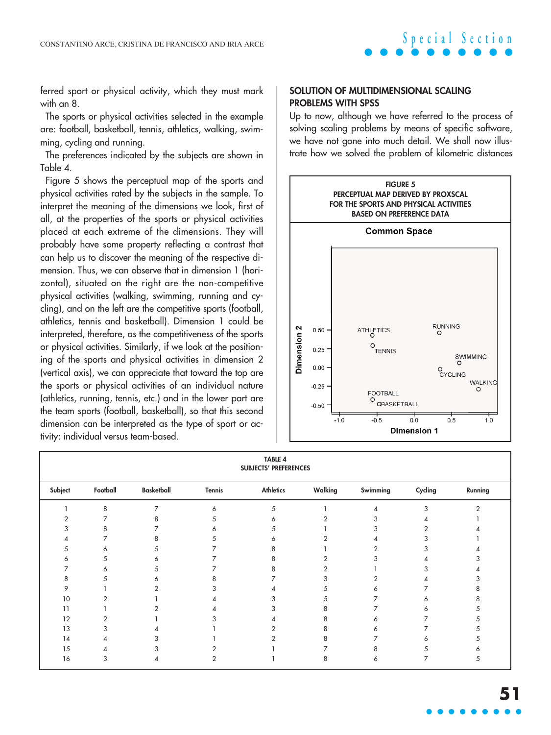ferred sport or physical activity, which they must mark with an 8.

The sports or physical activities selected in the example are: football, basketball, tennis, athletics, walking, swimming, cycling and running.

The preferences indicated by the subjects are shown in Table 4.

Figure 5 shows the perceptual map of the sports and physical activities rated by the subjects in the sample. To interpret the meaning of the dimensions we look, first of all, at the properties of the sports or physical activities placed at each extreme of the dimensions. They will probably have some property reflecting a contrast that can help us to discover the meaning of the respective dimension. Thus, we can observe that in dimension 1 (horizontal), situated on the right are the non-competitive physical activities (walking, swimming, running and cycling), and on the left are the competitive sports (football, athletics, tennis and basketball). Dimension 1 could be interpreted, therefore, as the competitiveness of the sports or physical activities. Similarly, if we look at the positioning of the sports and physical activities in dimension 2 (vertical axis), we can appreciate that toward the top are the sports or physical activities of an individual nature (athletics, running, tennis, etc.) and in the lower part are the team sports (football, basketball), so that this second dimension can be interpreted as the type of sport or activity: individual versus team-based.

#### **SOLUTION OF MULTIDIMENSIONAL SCALING PROBLEMS WITH SPSS**

Up to now, although we have referred to the process of solving scaling problems by means of specific software, we have not gone into much detail. We shall now illustrate how we solved the problem of kilometric distances



| <b>TABLE 4</b><br><b>SUBJECTS' PREFERENCES</b> |          |                   |               |                  |         |          |         |         |
|------------------------------------------------|----------|-------------------|---------------|------------------|---------|----------|---------|---------|
| Subject                                        | Football | <b>Basketball</b> | <b>Tennis</b> | <b>Athletics</b> | Walking | Swimming | Cycling | Running |
|                                                | 8        | 7                 | 6             | 5                |         | л        | 3       |         |
|                                                |          | 8                 |               | 6                |         | 3        |         |         |
|                                                |          |                   |               | ↖                |         | 3        |         |         |
|                                                |          |                   |               | n                |         |          | 3       |         |
|                                                | 6        | h                 |               |                  |         | 2        | 3       |         |
| Λ                                              |          | ⌒                 |               |                  | 2       | 3        |         |         |
|                                                |          |                   |               |                  |         |          |         |         |
| 8                                              |          | ⌒                 | ጸ             |                  | 3       | 2        |         |         |
| 9                                              |          |                   |               |                  | 5       | 6        |         |         |
| 10                                             |          |                   |               |                  | 5       |          | 6       |         |
| 11                                             |          |                   |               |                  | 8       |          |         |         |
| 12                                             |          |                   |               |                  | 8       | Α        |         |         |
| 13                                             |          |                   |               |                  | 8       | 6        |         |         |
| 14                                             |          |                   |               |                  | 8       |          | Ō       |         |
| 15                                             |          |                   |               |                  |         | 8        | 5.      |         |
| 16                                             |          |                   |               |                  | 8       | 6        | ⇁       |         |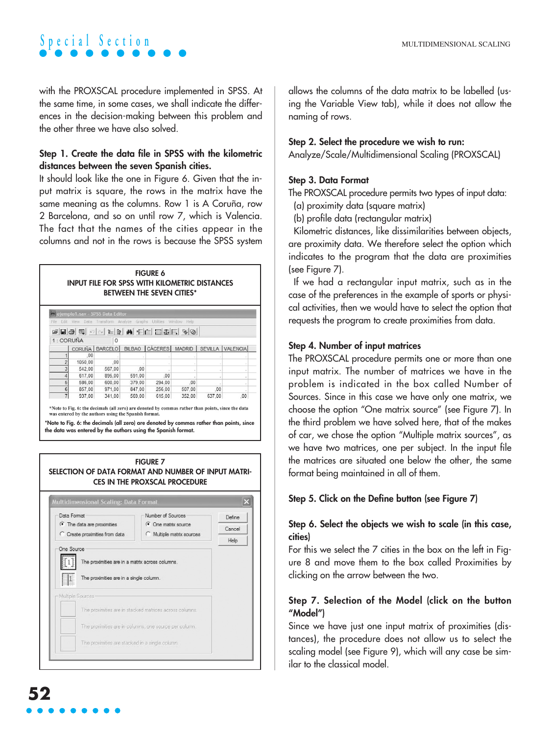with the PROXSCAL procedure implemented in SPSS. At the same time, in some cases, we shall indicate the differences in the decision-making between this problem and the other three we have also solved.

### **Step 1. Create the data file in SPSS with the kilometric distances between the seven Spanish cities.**

It should look like the one in Figure 6. Given that the input matrix is square, the rows in the matrix have the same meaning as the columns. Row 1 is A Coruña, row 2 Barcelona, and so on until row 7, which is Valencia. The fact that the names of the cities appear in the columns and not in the rows is because the SPSS system

| <b>FIGURE 6</b><br><b>INPUT FILE FOR SPSS WITH KILOMETRIC DISTANCES</b><br><b>BETWEEN THE SEVEN CITIES*</b> |                       |                                                                |               |                  |                |     |                  |  |  |
|-------------------------------------------------------------------------------------------------------------|-----------------------|----------------------------------------------------------------|---------------|------------------|----------------|-----|------------------|--|--|
| Edit<br>File                                                                                                |                       | ejemplo1.sav - SPSS Data Editor<br>View Data Transform Analyze |               | Graphs Utilities | Window<br>Help |     |                  |  |  |
|                                                                                                             | GBBBC ON LDAFEBBRGQ   |                                                                |               |                  |                |     |                  |  |  |
|                                                                                                             | 1: CORUÑA<br>$\Omega$ |                                                                |               |                  |                |     |                  |  |  |
|                                                                                                             | CORUÑA                | <b>BARCELO</b>                                                 | <b>BILBAO</b> | <b>CÁCERES</b>   | <b>MADRID</b>  |     | SEVILLA VALENCIA |  |  |
|                                                                                                             | .00                   |                                                                |               |                  |                |     |                  |  |  |
| $\overline{2}$                                                                                              | 1050.00               | .00                                                            |               |                  |                |     |                  |  |  |
|                                                                                                             | 542.00                | 567.00                                                         | .00           |                  |                |     |                  |  |  |
| 4                                                                                                           | 617.00                | 895.00                                                         | 591.00        | .00              |                |     |                  |  |  |
|                                                                                                             |                       | 600.00                                                         | 379.00        | 294.00           | .00            |     |                  |  |  |
| 5                                                                                                           | 586,00                |                                                                |               |                  |                |     |                  |  |  |
| 6                                                                                                           | 857.00                | 971.00                                                         | 847.00        | 256,00           | 507.00         | .00 |                  |  |  |

\*Note to Fig. 6: the decimals (all zero) are denoted by commas rather than points, since the data was entered by the authors using the Spanish forma

**\*Note to Fig. 6: the decimals (all zero) are denoted by commas rather than points, since the data was entered by the authors using the Spanish format.**



allows the columns of the data matrix to be labelled (using the Variable View tab), while it does not allow the naming of rows.

## **Step 2. Select the procedure we wish to run:**

Analyze/Scale/Multidimensional Scaling (PROXSCAL)

## **Step 3. Data Format**

The PROXSCAL procedure permits two types of input data:

(a) proximity data (square matrix)

(b) profile data (rectangular matrix)

Kilometric distances, like dissimilarities between objects, are proximity data. We therefore select the option which indicates to the program that the data are proximities (see Figure 7).

If we had a rectangular input matrix, such as in the case of the preferences in the example of sports or physical activities, then we would have to select the option that requests the program to create proximities from data.

## **Step 4. Number of input matrices**

The PROXSCAL procedure permits one or more than one input matrix. The number of matrices we have in the problem is indicated in the box called Number of Sources. Since in this case we have only one matrix, we choose the option "One matrix source" (see Figure 7). In the third problem we have solved here, that of the makes of car, we chose the option "Multiple matrix sources", as we have two matrices, one per subject. In the input file the matrices are situated one below the other, the same format being maintained in all of them.

## **Step 5. Click on the Define button (see Figure 7)**

## **Step 6. Select the objects we wish to scale (in this case, cities)**

For this we select the 7 cities in the box on the left in Figure 8 and move them to the box called Proximities by clicking on the arrow between the two.

## **Step 7. Selection of the Model (click on the button "Model")**

Since we have just one input matrix of proximities (distances), the procedure does not allow us to select the scaling model (see Figure 9), which will any case be similar to the classical model.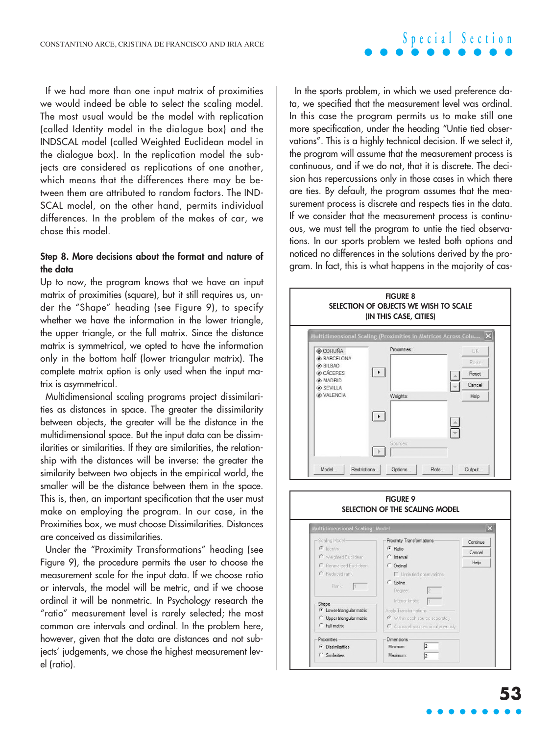### If we had more than one input matrix of proximities we would indeed be able to select the scaling model. The most usual would be the model with replication (called Identity model in the dialogue box) and the INDSCAL model (called Weighted Euclidean model in the dialogue box). In the replication model the subjects are considered as replications of one another, which means that the differences there may be between them are attributed to random factors. The IND-SCAL model, on the other hand, permits individual differences. In the problem of the makes of car, we chose this model.

#### **Step 8. More decisions about the format and nature of the data**

Up to now, the program knows that we have an input matrix of proximities (square), but it still requires us, under the "Shape" heading (see Figure 9), to specify whether we have the information in the lower trianale, the upper triangle, or the full matrix. Since the distance matrix is symmetrical, we opted to have the information only in the bottom half (lower triangular matrix). The complete matrix option is only used when the input matrix is asymmetrical.

Multidimensional scaling programs project dissimilarities as distances in space. The greater the dissimilarity between objects, the greater will be the distance in the multidimensional space. But the input data can be dissimilarities or similarities. If they are similarities, the relationship with the distances will be inverse: the greater the similarity between two objects in the empirical world, the smaller will be the distance between them in the space. This is, then, an important specification that the user must make on employing the program. In our case, in the Proximities box, we must choose Dissimilarities. Distances are conceived as dissimilarities.

Under the "Proximity Transformations" heading (see Figure 9), the procedure permits the user to choose the measurement scale for the input data. If we choose ratio or intervals, the model will be metric, and if we choose ordinal it will be nonmetric. In Psychology research the "ratio" measurement level is rarely selected; the most common are intervals and ordinal. In the problem here, however, given that the data are distances and not subjects' judgements, we chose the highest measurement level (ratio).

In the sports problem, in which we used preference data, we specified that the measurement level was ordinal. In this case the program permits us to make still one more specification, under the heading "Untie tied observations". This is a highly technical decision. If we select it, the program will assume that the measurement process is continuous, and if we do not, that it is discrete. The decision has repercussions only in those cases in which there are ties. By default, the program assumes that the measurement process is discrete and respects ties in the data. If we consider that the measurement process is continuous, we must tell the program to untie the tied observations. In our sports problem we tested both options and noticed no differences in the solutions derived by the program. In fact, this is what happens in the majority of cas-



## **Special Section**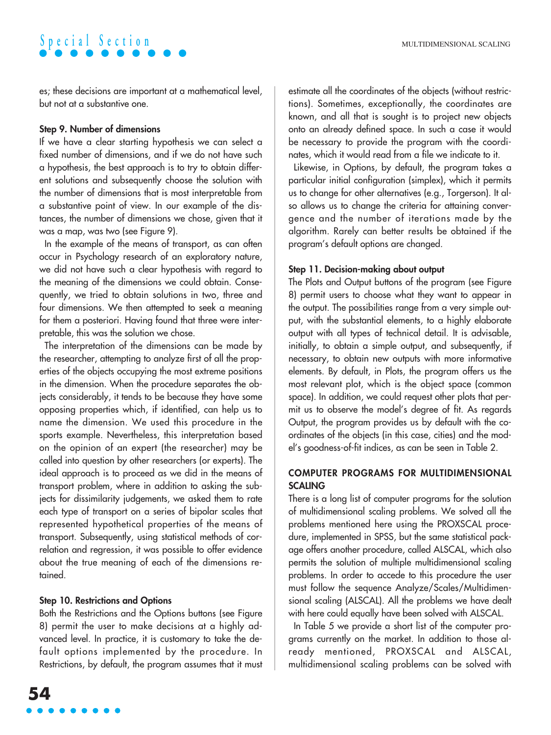es; these decisions are important at a mathematical level, but not at a substantive one.

### **Step 9. Number of dimensions**

If we have a clear starting hypothesis we can select a fixed number of dimensions, and if we do not have such a hypothesis, the best approach is to try to obtain different solutions and subsequently choose the solution with the number of dimensions that is most interpretable from a substantive point of view. In our example of the distances, the number of dimensions we chose, given that it was a map, was two (see Figure 9).

In the example of the means of transport, as can often occur in Psychology research of an exploratory nature, we did not have such a clear hypothesis with regard to the meaning of the dimensions we could obtain. Consequently, we tried to obtain solutions in two, three and four dimensions. We then attempted to seek a meaning for them a posteriori. Having found that three were interpretable, this was the solution we chose.

The interpretation of the dimensions can be made by the researcher, attempting to analyze first of all the properties of the objects occupying the most extreme positions in the dimension. When the procedure separates the objects considerably, it tends to be because they have some opposing properties which, if identified, can help us to name the dimension. We used this procedure in the sports example. Nevertheless, this interpretation based on the opinion of an expert (the researcher) may be called into question by other researchers (or experts). The ideal approach is to proceed as we did in the means of transport problem, where in addition to asking the subjects for dissimilarity judgements, we asked them to rate each type of transport on a series of bipolar scales that represented hypothetical properties of the means of transport. Subsequently, using statistical methods of correlation and regression, it was possible to offer evidence about the true meaning of each of the dimensions retained.

### **Step 10. Restrictions and Options**

Both the Restrictions and the Options buttons (see Figure 8) permit the user to make decisions at a highly advanced level. In practice, it is customary to take the default options implemented by the procedure. In Restrictions, by default, the program assumes that it must estimate all the coordinates of the objects (without restrictions). Sometimes, exceptionally, the coordinates are known, and all that is sought is to project new objects onto an already defined space. In such a case it would be necessary to provide the program with the coordinates, which it would read from a file we indicate to it.

Likewise, in Options, by default, the program takes a particular initial configuration (simplex), which it permits us to change for other alternatives (e.g., Torgerson). It also allows us to change the criteria for attaining convergence and the number of iterations made by the algorithm. Rarely can better results be obtained if the program's default options are changed.

### **Step 11. Decision-making about output**

The Plots and Output buttons of the program (see Figure 8) permit users to choose what they want to appear in the output. The possibilities range from a very simple output, with the substantial elements, to a highly elaborate output with all types of technical detail. It is advisable, initially, to obtain a simple output, and subsequently, if necessary, to obtain new outputs with more informative elements. By default, in Plots, the program offers us the most relevant plot, which is the object space (common space). In addition, we could request other plots that permit us to observe the model's degree of fit. As regards Output, the program provides us by default with the coordinates of the objects (in this case, cities) and the model's goodness-of-fit indices, as can be seen in Table 2.

### **COMPUTER PROGRAMS FOR MULTIDIMENSIONAL SCALING**

There is a long list of computer programs for the solution of multidimensional scaling problems. We solved all the problems mentioned here using the PROXSCAL procedure, implemented in SPSS, but the same statistical package offers another procedure, called ALSCAL, which also permits the solution of multiple multidimensional scaling problems. In order to accede to this procedure the user must follow the sequence Analyze/Scales/Multidimensional scaling (ALSCAL). All the problems we have dealt with here could equally have been solved with ALSCAL.

In Table 5 we provide a short list of the computer programs currently on the market. In addition to those already mentioned, PROXSCAL and ALSCAL, multidimensional scaling problems can be solved with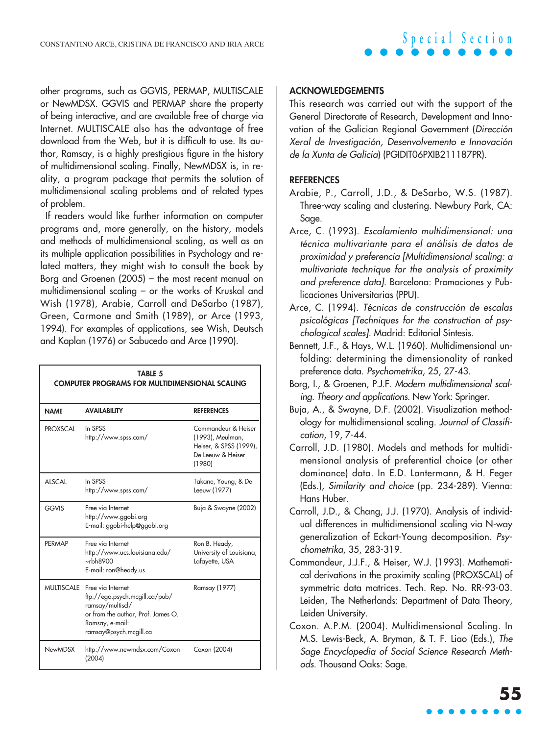other programs, such as GGVIS, PERMAP, MULTISCALE or NewMDSX. GGVIS and PERMAP share the property of being interactive, and are available free of charge via Internet. MULTISCALE also has the advantage of free download from the Web, but it is difficult to use. Its author, Ramsay, is a highly prestigious figure in the history of multidimensional scaling. Finally, NewMDSX is, in reality, a program package that permits the solution of multidimensional scaling problems and of related types of problem.

If readers would like further information on computer programs and, more generally, on the history, models and methods of multidimensional scaling, as well as on its multiple application possibilities in Psychology and related matters, they might wish to consult the book by Borg and Groenen (2005) – the most recent manual on multidimensional scaling – or the works of Kruskal and Wish (1978), Arabie, Carroll and DeSarbo (1987), Green, Carmone and Smith (1989), or Arce (1993, 1994). For examples of applications, see Wish, Deutsch and Kaplan (1976) or Sabucedo and Arce (1990).

| <b>TABLE 5</b><br><b>COMPUTER PROGRAMS FOR MULTIDIMENSIONAL SCALING</b> |                                                                                                                                                                       |                                                                                                  |  |  |  |  |
|-------------------------------------------------------------------------|-----------------------------------------------------------------------------------------------------------------------------------------------------------------------|--------------------------------------------------------------------------------------------------|--|--|--|--|
| <b>NAME</b>                                                             | <b>AVAILABILITY</b>                                                                                                                                                   | <b>REFERENCES</b>                                                                                |  |  |  |  |
| <b>PROXSCAL</b>                                                         | In SPSS<br>http://www.spss.com/                                                                                                                                       | Commandeur & Heiser<br>(1993), Meulman,<br>Heiser, & SPSS (1999),<br>De Leeuw & Heiser<br>(1980) |  |  |  |  |
| <b>ALSCAL</b>                                                           | In SPSS<br>http://www.spss.com/                                                                                                                                       | Takane, Young, & De<br>Leeuw (1977)                                                              |  |  |  |  |
| <b>GGVIS</b>                                                            | Free via Internet<br>http://www.ggobi.org<br>E-mail: ggobi-help@ggobi.org                                                                                             | Buja & Swayne (2002)                                                                             |  |  |  |  |
| PFRMAP                                                                  | Free via Internet<br>http://www.ucs.louisiana.edu/<br>$\nightharpoonup$ rbh8900<br>E-mail: ron@heady.us                                                               | Ron B. Heady,<br>University of Louisiana,<br>Lafayette, USA                                      |  |  |  |  |
|                                                                         | MULTISCALE Free via Internet<br>ftp://ego.psych.mcgill.ca/pub/<br>ramsay/multiscl/<br>or from the author, Prof. James O.<br>Ramsay, e-mail:<br>ramsay@psych.mcgill.ca | Ramsay (1977)                                                                                    |  |  |  |  |
| <b>NewMDSX</b>                                                          | http://www.newmdsx.com/Coxon<br>(2004)                                                                                                                                | Coxon (2004)                                                                                     |  |  |  |  |

#### **ACKNOWLEDGEMENTS**

This research was carried out with the support of the General Directorate of Research, Development and Innovation of the Galician Regional Government (Dirección Xeral de Investigación, Desenvolvemento e Innovación de la Xunta de Galicia) (PGIDIT06PXIB211187PR).

#### **REFERENCES**

- Arabie, P., Carroll, J.D., & DeSarbo, W.S. (1987). Three-way scaling and clustering. Newbury Park, CA: Sage.
- Arce, C. (1993). Escalamiento multidimensional: una técnica multivariante para el análisis de datos de proximidad y preferencia [Multidimensional scaling: a multivariate technique for the analysis of proximity and preference data]. Barcelona: Promociones y Publicaciones Universitarias (PPU).
- Arce, C. (1994). Técnicas de construcción de escalas psicológicas [Techniques for the construction of psychological scales]. Madrid: Editorial Síntesis.
- Bennett, J.F., & Hays, W.L. (1960). Multidimensional unfolding: determining the dimensionality of ranked preference data. Psychometrika, 25, 27-43.
- Borg, I., & Groenen, P.J.F. Modern multidimensional scaling. Theory and applications. New York: Springer.
- Buja, A., & Swayne, D.F. (2002). Visualization methodology for multidimensional scaling. Journal of Classification, 19, 7-44.
- Carroll, J.D. (1980). Models and methods for multidimensional analysis of preferential choice (or other dominance) data. In E.D. Lantermann, & H. Feger (Eds.), Similarity and choice (pp. 234-289). Vienna: Hans Huber.
- Carroll, J.D., & Chang, J.J. (1970). Analysis of individual differences in multidimensional scaling via N-way generalization of Eckart-Young decomposition. Psychometrika, 35, 283-319.
- Commandeur, J.J.F., & Heiser, W.J. (1993). Mathematical derivations in the proximity scaling (PROXSCAL) of symmetric data matrices. Tech. Rep. No. RR-93-03. Leiden, The Netherlands: Department of Data Theory, Leiden University.
- Coxon. A.P.M. (2004). Multidimensional Scaling. In M.S. Lewis-Beck, A. Bryman, & T. F. Liao (Eds.), The Sage Encyclopedia of Social Science Research Methods. Thousand Oaks: Sage.